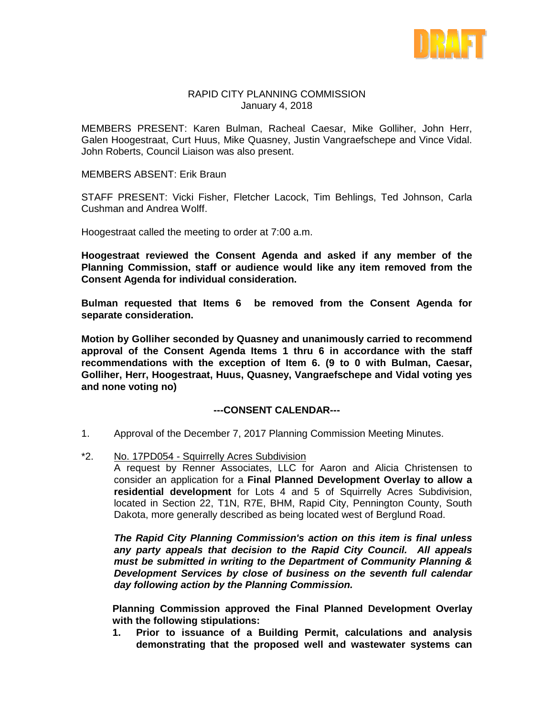

### RAPID CITY PLANNING COMMISSION January 4, 2018

MEMBERS PRESENT: Karen Bulman, Racheal Caesar, Mike Golliher, John Herr, Galen Hoogestraat, Curt Huus, Mike Quasney, Justin Vangraefschepe and Vince Vidal. John Roberts, Council Liaison was also present.

MEMBERS ABSENT: Erik Braun

STAFF PRESENT: Vicki Fisher, Fletcher Lacock, Tim Behlings, Ted Johnson, Carla Cushman and Andrea Wolff.

Hoogestraat called the meeting to order at 7:00 a.m.

**Hoogestraat reviewed the Consent Agenda and asked if any member of the Planning Commission, staff or audience would like any item removed from the Consent Agenda for individual consideration.**

**Bulman requested that Items 6 be removed from the Consent Agenda for separate consideration.**

**Motion by Golliher seconded by Quasney and unanimously carried to recommend approval of the Consent Agenda Items 1 thru 6 in accordance with the staff recommendations with the exception of Item 6. (9 to 0 with Bulman, Caesar, Golliher, Herr, Hoogestraat, Huus, Quasney, Vangraefschepe and Vidal voting yes and none voting no)**

### **---CONSENT CALENDAR---**

- 1. Approval of the December 7, 2017 Planning Commission Meeting Minutes.
- \*2. No. 17PD054 Squirrelly Acres Subdivision

A request by Renner Associates, LLC for Aaron and Alicia Christensen to consider an application for a **Final Planned Development Overlay to allow a residential development** for Lots 4 and 5 of Squirrelly Acres Subdivision, located in Section 22, T1N, R7E, BHM, Rapid City, Pennington County, South Dakota, more generally described as being located west of Berglund Road.

*The Rapid City Planning Commission's action on this item is final unless any party appeals that decision to the Rapid City Council. All appeals must be submitted in writing to the Department of Community Planning & Development Services by close of business on the seventh full calendar day following action by the Planning Commission.*

**Planning Commission approved the Final Planned Development Overlay with the following stipulations:**

**1. Prior to issuance of a Building Permit, calculations and analysis demonstrating that the proposed well and wastewater systems can**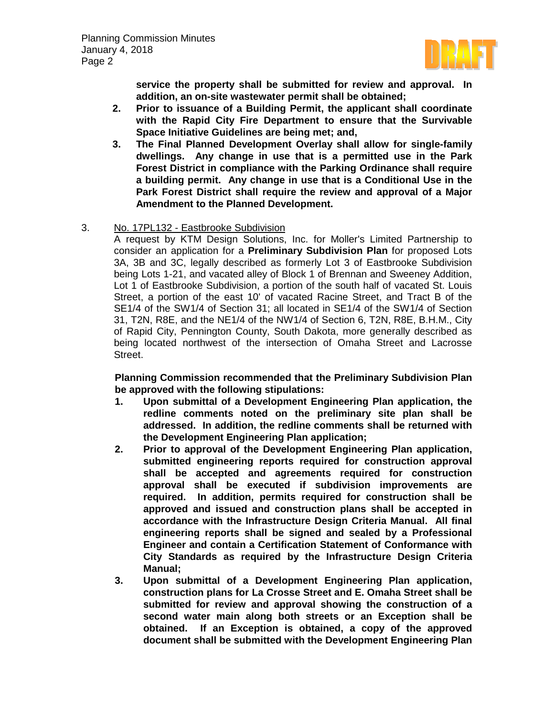

**service the property shall be submitted for review and approval. In addition, an on-site wastewater permit shall be obtained;**

- **2. Prior to issuance of a Building Permit, the applicant shall coordinate with the Rapid City Fire Department to ensure that the Survivable Space Initiative Guidelines are being met; and,**
- **3. The Final Planned Development Overlay shall allow for single-family dwellings. Any change in use that is a permitted use in the Park Forest District in compliance with the Parking Ordinance shall require a building permit. Any change in use that is a Conditional Use in the Park Forest District shall require the review and approval of a Major Amendment to the Planned Development.**
- 3. No. 17PL132 Eastbrooke Subdivision

A request by KTM Design Solutions, Inc. for Moller's Limited Partnership to consider an application for a **Preliminary Subdivision Plan** for proposed Lots 3A, 3B and 3C, legally described as formerly Lot 3 of Eastbrooke Subdivision being Lots 1-21, and vacated alley of Block 1 of Brennan and Sweeney Addition, Lot 1 of Eastbrooke Subdivision, a portion of the south half of vacated St. Louis Street, a portion of the east 10' of vacated Racine Street, and Tract B of the SE1/4 of the SW1/4 of Section 31; all located in SE1/4 of the SW1/4 of Section 31, T2N, R8E, and the NE1/4 of the NW1/4 of Section 6, T2N, R8E, B.H.M., City of Rapid City, Pennington County, South Dakota, more generally described as being located northwest of the intersection of Omaha Street and Lacrosse Street.

**Planning Commission recommended that the Preliminary Subdivision Plan be approved with the following stipulations:** 

- **1. Upon submittal of a Development Engineering Plan application, the redline comments noted on the preliminary site plan shall be addressed. In addition, the redline comments shall be returned with the Development Engineering Plan application;**
- **2. Prior to approval of the Development Engineering Plan application, submitted engineering reports required for construction approval shall be accepted and agreements required for construction approval shall be executed if subdivision improvements are required. In addition, permits required for construction shall be approved and issued and construction plans shall be accepted in accordance with the Infrastructure Design Criteria Manual. All final engineering reports shall be signed and sealed by a Professional Engineer and contain a Certification Statement of Conformance with City Standards as required by the Infrastructure Design Criteria Manual;**
- **3. Upon submittal of a Development Engineering Plan application, construction plans for La Crosse Street and E. Omaha Street shall be submitted for review and approval showing the construction of a second water main along both streets or an Exception shall be obtained. If an Exception is obtained, a copy of the approved document shall be submitted with the Development Engineering Plan**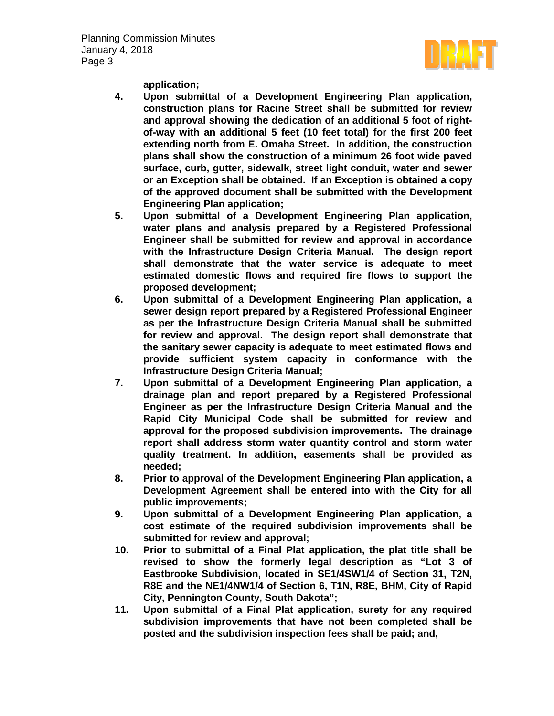Planning Commission Minutes January 4, 2018 Page 3



**application;** 

- **4. Upon submittal of a Development Engineering Plan application, construction plans for Racine Street shall be submitted for review and approval showing the dedication of an additional 5 foot of rightof-way with an additional 5 feet (10 feet total) for the first 200 feet extending north from E. Omaha Street. In addition, the construction plans shall show the construction of a minimum 26 foot wide paved surface, curb, gutter, sidewalk, street light conduit, water and sewer or an Exception shall be obtained. If an Exception is obtained a copy of the approved document shall be submitted with the Development Engineering Plan application;**
- **5. Upon submittal of a Development Engineering Plan application, water plans and analysis prepared by a Registered Professional Engineer shall be submitted for review and approval in accordance with the Infrastructure Design Criteria Manual. The design report shall demonstrate that the water service is adequate to meet estimated domestic flows and required fire flows to support the proposed development;**
- **6. Upon submittal of a Development Engineering Plan application, a sewer design report prepared by a Registered Professional Engineer as per the Infrastructure Design Criteria Manual shall be submitted for review and approval. The design report shall demonstrate that the sanitary sewer capacity is adequate to meet estimated flows and provide sufficient system capacity in conformance with the Infrastructure Design Criteria Manual;**
- **7. Upon submittal of a Development Engineering Plan application, a drainage plan and report prepared by a Registered Professional Engineer as per the Infrastructure Design Criteria Manual and the Rapid City Municipal Code shall be submitted for review and approval for the proposed subdivision improvements. The drainage report shall address storm water quantity control and storm water quality treatment. In addition, easements shall be provided as needed;**
- **8. Prior to approval of the Development Engineering Plan application, a Development Agreement shall be entered into with the City for all public improvements;**
- **9. Upon submittal of a Development Engineering Plan application, a cost estimate of the required subdivision improvements shall be submitted for review and approval;**
- **10. Prior to submittal of a Final Plat application, the plat title shall be revised to show the formerly legal description as "Lot 3 of Eastbrooke Subdivision, located in SE1/4SW1/4 of Section 31, T2N, R8E and the NE1/4NW1/4 of Section 6, T1N, R8E, BHM, City of Rapid City, Pennington County, South Dakota";**
- **11. Upon submittal of a Final Plat application, surety for any required subdivision improvements that have not been completed shall be posted and the subdivision inspection fees shall be paid; and,**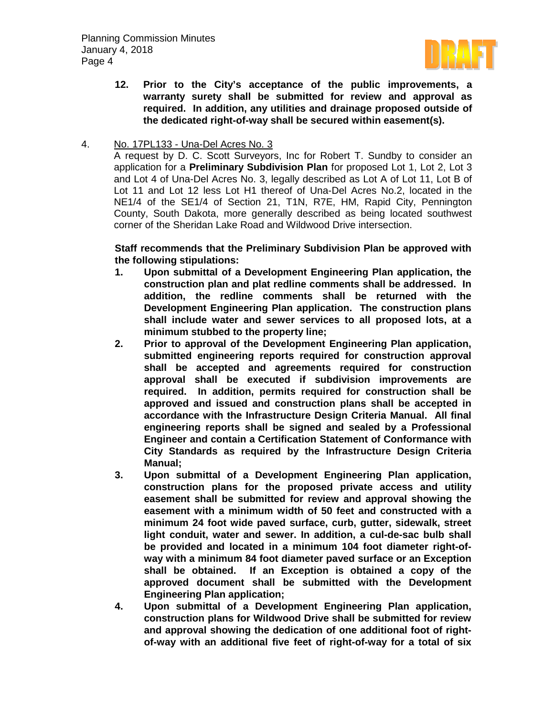

**12. Prior to the City's acceptance of the public improvements, a warranty surety shall be submitted for review and approval as required. In addition, any utilities and drainage proposed outside of the dedicated right-of-way shall be secured within easement(s).**

## 4. No. 17PL133 - Una-Del Acres No. 3

A request by D. C. Scott Surveyors, Inc for Robert T. Sundby to consider an application for a **Preliminary Subdivision Plan** for proposed Lot 1, Lot 2, Lot 3 and Lot 4 of Una-Del Acres No. 3, legally described as Lot A of Lot 11, Lot B of Lot 11 and Lot 12 less Lot H1 thereof of Una-Del Acres No.2, located in the NE1/4 of the SE1/4 of Section 21, T1N, R7E, HM, Rapid City, Pennington County, South Dakota, more generally described as being located southwest corner of the Sheridan Lake Road and Wildwood Drive intersection.

# **Staff recommends that the Preliminary Subdivision Plan be approved with the following stipulations:**

- **1. Upon submittal of a Development Engineering Plan application, the construction plan and plat redline comments shall be addressed. In addition, the redline comments shall be returned with the Development Engineering Plan application. The construction plans shall include water and sewer services to all proposed lots, at a minimum stubbed to the property line;**
- **2. Prior to approval of the Development Engineering Plan application, submitted engineering reports required for construction approval shall be accepted and agreements required for construction approval shall be executed if subdivision improvements are required. In addition, permits required for construction shall be approved and issued and construction plans shall be accepted in accordance with the Infrastructure Design Criteria Manual. All final engineering reports shall be signed and sealed by a Professional Engineer and contain a Certification Statement of Conformance with City Standards as required by the Infrastructure Design Criteria Manual;**
- **3. Upon submittal of a Development Engineering Plan application, construction plans for the proposed private access and utility easement shall be submitted for review and approval showing the easement with a minimum width of 50 feet and constructed with a minimum 24 foot wide paved surface, curb, gutter, sidewalk, street light conduit, water and sewer. In addition, a cul-de-sac bulb shall be provided and located in a minimum 104 foot diameter right-ofway with a minimum 84 foot diameter paved surface or an Exception shall be obtained. If an Exception is obtained a copy of the approved document shall be submitted with the Development Engineering Plan application;**
- **4. Upon submittal of a Development Engineering Plan application, construction plans for Wildwood Drive shall be submitted for review and approval showing the dedication of one additional foot of rightof-way with an additional five feet of right-of-way for a total of six**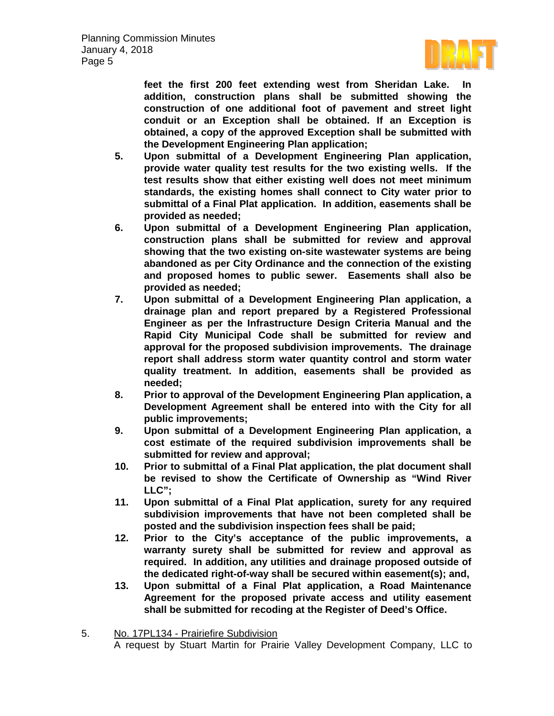

**feet the first 200 feet extending west from Sheridan Lake. In addition, construction plans shall be submitted showing the construction of one additional foot of pavement and street light conduit or an Exception shall be obtained. If an Exception is obtained, a copy of the approved Exception shall be submitted with the Development Engineering Plan application;** 

- **5. Upon submittal of a Development Engineering Plan application, provide water quality test results for the two existing wells. If the test results show that either existing well does not meet minimum standards, the existing homes shall connect to City water prior to submittal of a Final Plat application. In addition, easements shall be provided as needed;**
- **6. Upon submittal of a Development Engineering Plan application, construction plans shall be submitted for review and approval showing that the two existing on-site wastewater systems are being abandoned as per City Ordinance and the connection of the existing and proposed homes to public sewer. Easements shall also be provided as needed;**
- **7. Upon submittal of a Development Engineering Plan application, a drainage plan and report prepared by a Registered Professional Engineer as per the Infrastructure Design Criteria Manual and the Rapid City Municipal Code shall be submitted for review and approval for the proposed subdivision improvements. The drainage report shall address storm water quantity control and storm water quality treatment. In addition, easements shall be provided as needed;**
- **8. Prior to approval of the Development Engineering Plan application, a Development Agreement shall be entered into with the City for all public improvements;**
- **9. Upon submittal of a Development Engineering Plan application, a cost estimate of the required subdivision improvements shall be submitted for review and approval;**
- **10. Prior to submittal of a Final Plat application, the plat document shall be revised to show the Certificate of Ownership as "Wind River LLC";**
- **11. Upon submittal of a Final Plat application, surety for any required subdivision improvements that have not been completed shall be posted and the subdivision inspection fees shall be paid;**
- **12. Prior to the City's acceptance of the public improvements, a warranty surety shall be submitted for review and approval as required. In addition, any utilities and drainage proposed outside of the dedicated right-of-way shall be secured within easement(s); and,**
- **13. Upon submittal of a Final Plat application, a Road Maintenance Agreement for the proposed private access and utility easement shall be submitted for recoding at the Register of Deed's Office.**

<sup>5.</sup> No. 17PL134 - Prairiefire Subdivision A request by Stuart Martin for Prairie Valley Development Company, LLC to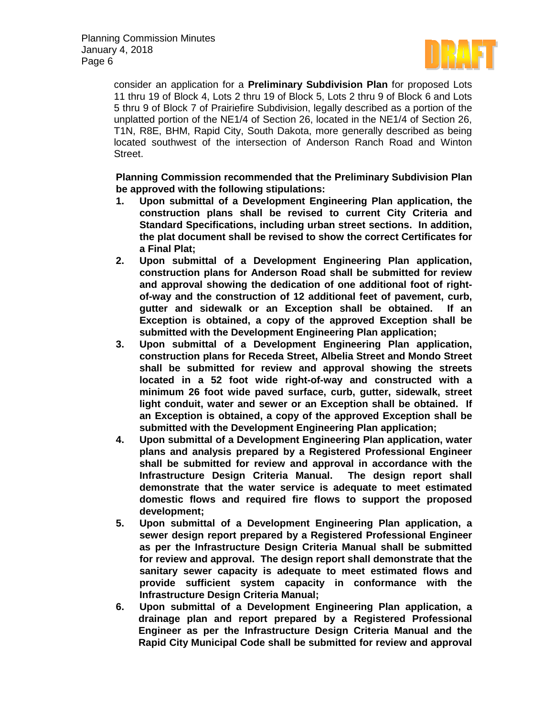

consider an application for a **Preliminary Subdivision Plan** for proposed Lots 11 thru 19 of Block 4, Lots 2 thru 19 of Block 5, Lots 2 thru 9 of Block 6 and Lots 5 thru 9 of Block 7 of Prairiefire Subdivision, legally described as a portion of the unplatted portion of the NE1/4 of Section 26, located in the NE1/4 of Section 26, T1N, R8E, BHM, Rapid City, South Dakota, more generally described as being located southwest of the intersection of Anderson Ranch Road and Winton Street.

**Planning Commission recommended that the Preliminary Subdivision Plan be approved with the following stipulations:**

- **1. Upon submittal of a Development Engineering Plan application, the construction plans shall be revised to current City Criteria and Standard Specifications, including urban street sections. In addition, the plat document shall be revised to show the correct Certificates for a Final Plat;**
- **2. Upon submittal of a Development Engineering Plan application, construction plans for Anderson Road shall be submitted for review and approval showing the dedication of one additional foot of rightof-way and the construction of 12 additional feet of pavement, curb, gutter and sidewalk or an Exception shall be obtained. If an Exception is obtained, a copy of the approved Exception shall be submitted with the Development Engineering Plan application;**
- **3. Upon submittal of a Development Engineering Plan application, construction plans for Receda Street, Albelia Street and Mondo Street shall be submitted for review and approval showing the streets located in a 52 foot wide right-of-way and constructed with a minimum 26 foot wide paved surface, curb, gutter, sidewalk, street light conduit, water and sewer or an Exception shall be obtained. If an Exception is obtained, a copy of the approved Exception shall be submitted with the Development Engineering Plan application;**
- **4. Upon submittal of a Development Engineering Plan application, water plans and analysis prepared by a Registered Professional Engineer shall be submitted for review and approval in accordance with the Infrastructure Design Criteria Manual. The design report shall demonstrate that the water service is adequate to meet estimated domestic flows and required fire flows to support the proposed development;**
- **5. Upon submittal of a Development Engineering Plan application, a sewer design report prepared by a Registered Professional Engineer as per the Infrastructure Design Criteria Manual shall be submitted for review and approval. The design report shall demonstrate that the sanitary sewer capacity is adequate to meet estimated flows and provide sufficient system capacity in conformance with the Infrastructure Design Criteria Manual;**
- **6. Upon submittal of a Development Engineering Plan application, a drainage plan and report prepared by a Registered Professional Engineer as per the Infrastructure Design Criteria Manual and the Rapid City Municipal Code shall be submitted for review and approval**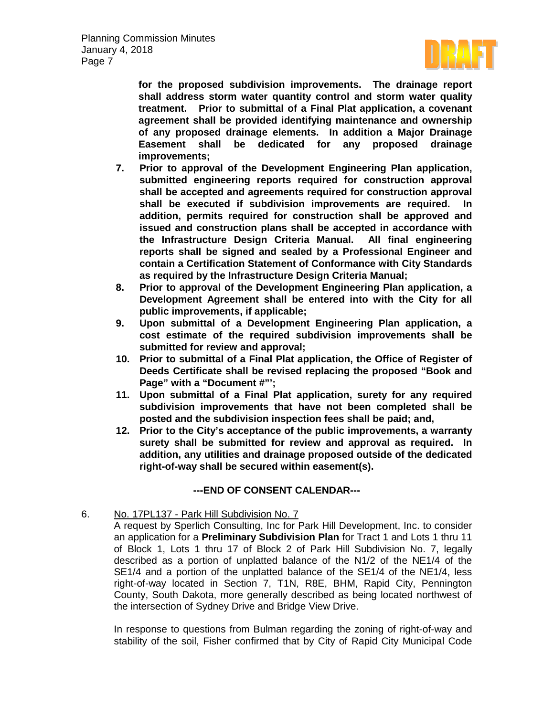

**for the proposed subdivision improvements. The drainage report shall address storm water quantity control and storm water quality treatment. Prior to submittal of a Final Plat application, a covenant agreement shall be provided identifying maintenance and ownership of any proposed drainage elements. In addition a Major Drainage Easement shall be dedicated for any proposed drainage improvements;**

- **7. Prior to approval of the Development Engineering Plan application, submitted engineering reports required for construction approval shall be accepted and agreements required for construction approval shall be executed if subdivision improvements are required. In addition, permits required for construction shall be approved and issued and construction plans shall be accepted in accordance with the Infrastructure Design Criteria Manual. All final engineering reports shall be signed and sealed by a Professional Engineer and contain a Certification Statement of Conformance with City Standards as required by the Infrastructure Design Criteria Manual;**
- **8. Prior to approval of the Development Engineering Plan application, a Development Agreement shall be entered into with the City for all public improvements, if applicable;**
- **9. Upon submittal of a Development Engineering Plan application, a cost estimate of the required subdivision improvements shall be submitted for review and approval;**
- **10. Prior to submittal of a Final Plat application, the Office of Register of Deeds Certificate shall be revised replacing the proposed "Book and Page" with a "Document #"';**
- **11. Upon submittal of a Final Plat application, surety for any required subdivision improvements that have not been completed shall be posted and the subdivision inspection fees shall be paid; and,**
- **12. Prior to the City's acceptance of the public improvements, a warranty surety shall be submitted for review and approval as required. In addition, any utilities and drainage proposed outside of the dedicated right-of-way shall be secured within easement(s).**

# **---END OF CONSENT CALENDAR---**

# 6. No. 17PL137 - Park Hill Subdivision No. 7

A request by Sperlich Consulting, Inc for Park Hill Development, Inc. to consider an application for a **Preliminary Subdivision Plan** for Tract 1 and Lots 1 thru 11 of Block 1, Lots 1 thru 17 of Block 2 of Park Hill Subdivision No. 7, legally described as a portion of unplatted balance of the N1/2 of the NE1/4 of the SE1/4 and a portion of the unplatted balance of the SE1/4 of the NE1/4, less right-of-way located in Section 7, T1N, R8E, BHM, Rapid City, Pennington County, South Dakota, more generally described as being located northwest of the intersection of Sydney Drive and Bridge View Drive.

In response to questions from Bulman regarding the zoning of right-of-way and stability of the soil, Fisher confirmed that by City of Rapid City Municipal Code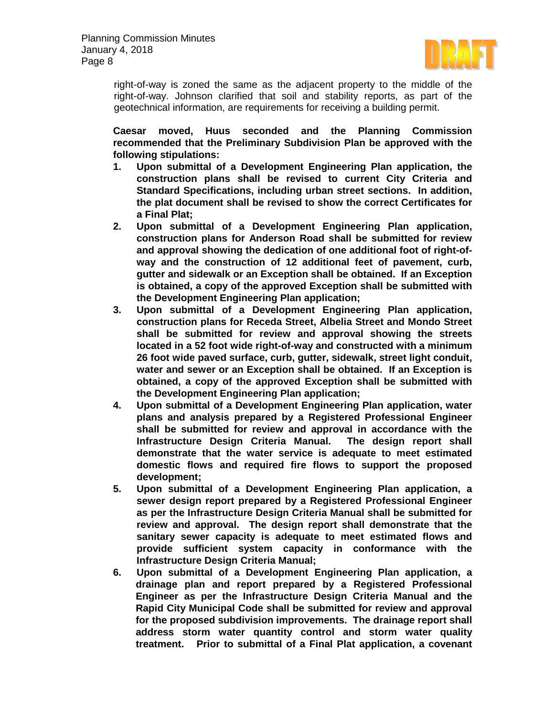

right-of-way is zoned the same as the adjacent property to the middle of the right-of-way. Johnson clarified that soil and stability reports, as part of the geotechnical information, are requirements for receiving a building permit.

**Caesar moved, Huus seconded and the Planning Commission recommended that the Preliminary Subdivision Plan be approved with the following stipulations:**

- **1. Upon submittal of a Development Engineering Plan application, the construction plans shall be revised to current City Criteria and Standard Specifications, including urban street sections. In addition, the plat document shall be revised to show the correct Certificates for a Final Plat;**
- **2. Upon submittal of a Development Engineering Plan application, construction plans for Anderson Road shall be submitted for review and approval showing the dedication of one additional foot of right-ofway and the construction of 12 additional feet of pavement, curb, gutter and sidewalk or an Exception shall be obtained. If an Exception is obtained, a copy of the approved Exception shall be submitted with the Development Engineering Plan application;**
- **3. Upon submittal of a Development Engineering Plan application, construction plans for Receda Street, Albelia Street and Mondo Street shall be submitted for review and approval showing the streets located in a 52 foot wide right-of-way and constructed with a minimum 26 foot wide paved surface, curb, gutter, sidewalk, street light conduit, water and sewer or an Exception shall be obtained. If an Exception is obtained, a copy of the approved Exception shall be submitted with the Development Engineering Plan application;**
- **4. Upon submittal of a Development Engineering Plan application, water plans and analysis prepared by a Registered Professional Engineer shall be submitted for review and approval in accordance with the Infrastructure Design Criteria Manual. The design report shall demonstrate that the water service is adequate to meet estimated domestic flows and required fire flows to support the proposed development;**
- **5. Upon submittal of a Development Engineering Plan application, a sewer design report prepared by a Registered Professional Engineer as per the Infrastructure Design Criteria Manual shall be submitted for review and approval. The design report shall demonstrate that the sanitary sewer capacity is adequate to meet estimated flows and provide sufficient system capacity in conformance with the Infrastructure Design Criteria Manual;**
- **6. Upon submittal of a Development Engineering Plan application, a drainage plan and report prepared by a Registered Professional Engineer as per the Infrastructure Design Criteria Manual and the Rapid City Municipal Code shall be submitted for review and approval for the proposed subdivision improvements. The drainage report shall address storm water quantity control and storm water quality treatment. Prior to submittal of a Final Plat application, a covenant**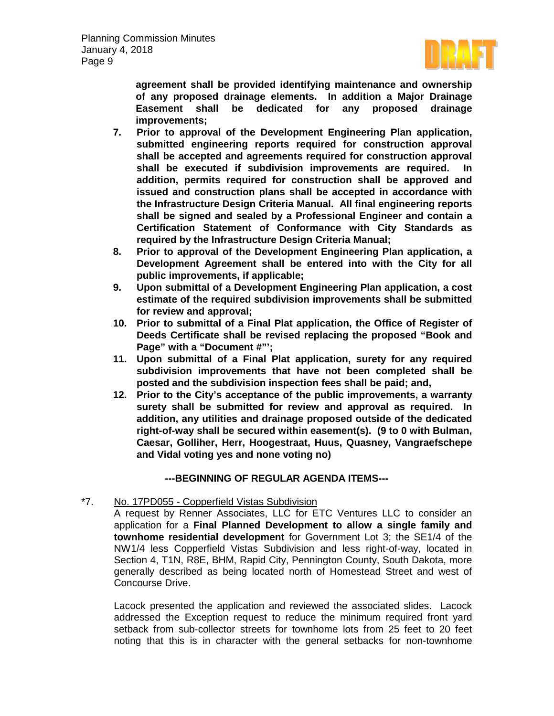

**agreement shall be provided identifying maintenance and ownership of any proposed drainage elements. In addition a Major Drainage Easement shall be dedicated for any proposed drainage improvements;**

- **7. Prior to approval of the Development Engineering Plan application, submitted engineering reports required for construction approval shall be accepted and agreements required for construction approval shall be executed if subdivision improvements are required. In addition, permits required for construction shall be approved and issued and construction plans shall be accepted in accordance with the Infrastructure Design Criteria Manual. All final engineering reports shall be signed and sealed by a Professional Engineer and contain a Certification Statement of Conformance with City Standards as required by the Infrastructure Design Criteria Manual;**
- **8. Prior to approval of the Development Engineering Plan application, a Development Agreement shall be entered into with the City for all public improvements, if applicable;**
- **9. Upon submittal of a Development Engineering Plan application, a cost estimate of the required subdivision improvements shall be submitted for review and approval;**
- **10. Prior to submittal of a Final Plat application, the Office of Register of Deeds Certificate shall be revised replacing the proposed "Book and Page" with a "Document #"';**
- **11. Upon submittal of a Final Plat application, surety for any required subdivision improvements that have not been completed shall be posted and the subdivision inspection fees shall be paid; and,**
- **12. Prior to the City's acceptance of the public improvements, a warranty surety shall be submitted for review and approval as required. In addition, any utilities and drainage proposed outside of the dedicated right-of-way shall be secured within easement(s). (9 to 0 with Bulman, Caesar, Golliher, Herr, Hoogestraat, Huus, Quasney, Vangraefschepe and Vidal voting yes and none voting no)**

# **---BEGINNING OF REGULAR AGENDA ITEMS---**

\*7. No. 17PD055 - Copperfield Vistas Subdivision

A request by Renner Associates, LLC for ETC Ventures LLC to consider an application for a **Final Planned Development to allow a single family and townhome residential development** for Government Lot 3; the SE1/4 of the NW1/4 less Copperfield Vistas Subdivision and less right-of-way, located in Section 4, T1N, R8E, BHM, Rapid City, Pennington County, South Dakota, more generally described as being located north of Homestead Street and west of Concourse Drive.

Lacock presented the application and reviewed the associated slides. Lacock addressed the Exception request to reduce the minimum required front yard setback from sub-collector streets for townhome lots from 25 feet to 20 feet noting that this is in character with the general setbacks for non-townhome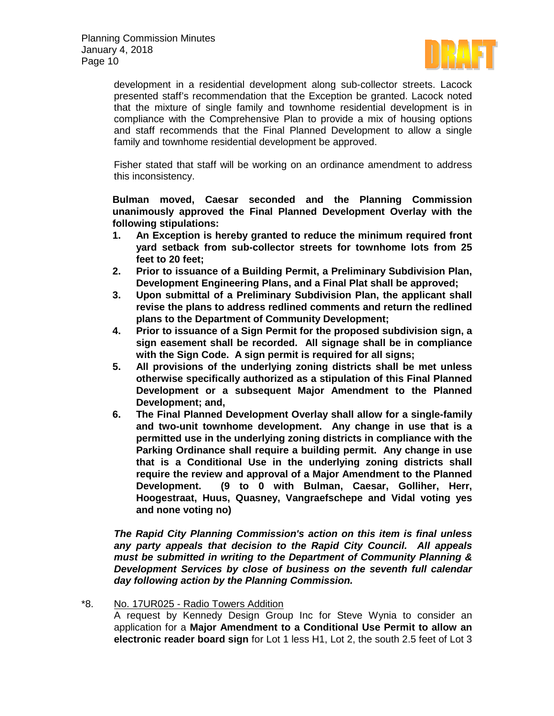

development in a residential development along sub-collector streets. Lacock presented staff's recommendation that the Exception be granted. Lacock noted that the mixture of single family and townhome residential development is in compliance with the Comprehensive Plan to provide a mix of housing options and staff recommends that the Final Planned Development to allow a single family and townhome residential development be approved.

Fisher stated that staff will be working on an ordinance amendment to address this inconsistency.

**Bulman moved, Caesar seconded and the Planning Commission unanimously approved the Final Planned Development Overlay with the following stipulations:**

- **1. An Exception is hereby granted to reduce the minimum required front yard setback from sub-collector streets for townhome lots from 25 feet to 20 feet;**
- **2. Prior to issuance of a Building Permit, a Preliminary Subdivision Plan, Development Engineering Plans, and a Final Plat shall be approved;**
- **3. Upon submittal of a Preliminary Subdivision Plan, the applicant shall revise the plans to address redlined comments and return the redlined plans to the Department of Community Development;**
- **4. Prior to issuance of a Sign Permit for the proposed subdivision sign, a sign easement shall be recorded. All signage shall be in compliance with the Sign Code. A sign permit is required for all signs;**
- **5. All provisions of the underlying zoning districts shall be met unless otherwise specifically authorized as a stipulation of this Final Planned Development or a subsequent Major Amendment to the Planned Development; and,**
- **6. The Final Planned Development Overlay shall allow for a single-family and two-unit townhome development. Any change in use that is a permitted use in the underlying zoning districts in compliance with the Parking Ordinance shall require a building permit. Any change in use that is a Conditional Use in the underlying zoning districts shall require the review and approval of a Major Amendment to the Planned Development. (9 to 0 with Bulman, Caesar, Golliher, Herr, Hoogestraat, Huus, Quasney, Vangraefschepe and Vidal voting yes and none voting no)**

*The Rapid City Planning Commission's action on this item is final unless any party appeals that decision to the Rapid City Council. All appeals must be submitted in writing to the Department of Community Planning & Development Services by close of business on the seventh full calendar day following action by the Planning Commission.*

### \*8. No. 17UR025 - Radio Towers Addition

A request by Kennedy Design Group Inc for Steve Wynia to consider an application for a **Major Amendment to a Conditional Use Permit to allow an electronic reader board sign** for Lot 1 less H1, Lot 2, the south 2.5 feet of Lot 3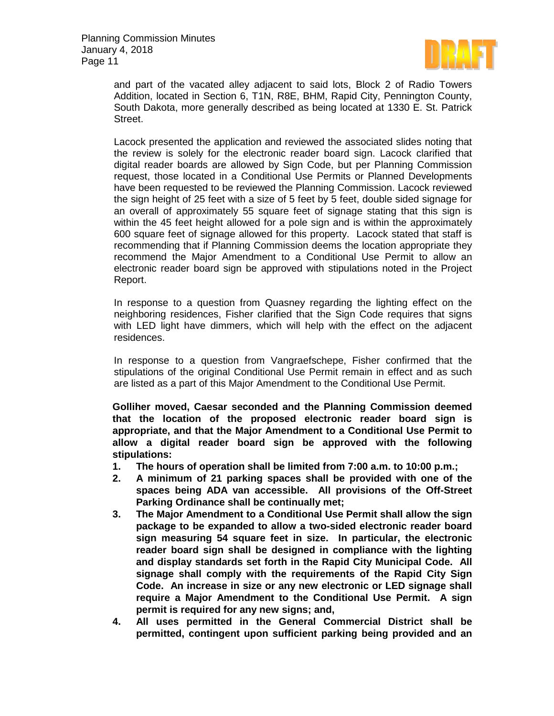

and part of the vacated alley adjacent to said lots, Block 2 of Radio Towers Addition, located in Section 6, T1N, R8E, BHM, Rapid City, Pennington County, South Dakota, more generally described as being located at 1330 E. St. Patrick Street.

Lacock presented the application and reviewed the associated slides noting that the review is solely for the electronic reader board sign. Lacock clarified that digital reader boards are allowed by Sign Code, but per Planning Commission request, those located in a Conditional Use Permits or Planned Developments have been requested to be reviewed the Planning Commission. Lacock reviewed the sign height of 25 feet with a size of 5 feet by 5 feet, double sided signage for an overall of approximately 55 square feet of signage stating that this sign is within the 45 feet height allowed for a pole sign and is within the approximately 600 square feet of signage allowed for this property. Lacock stated that staff is recommending that if Planning Commission deems the location appropriate they recommend the Major Amendment to a Conditional Use Permit to allow an electronic reader board sign be approved with stipulations noted in the Project Report.

In response to a question from Quasney regarding the lighting effect on the neighboring residences, Fisher clarified that the Sign Code requires that signs with LED light have dimmers, which will help with the effect on the adjacent residences.

In response to a question from Vangraefschepe, Fisher confirmed that the stipulations of the original Conditional Use Permit remain in effect and as such are listed as a part of this Major Amendment to the Conditional Use Permit.

**Golliher moved, Caesar seconded and the Planning Commission deemed that the location of the proposed electronic reader board sign is appropriate, and that the Major Amendment to a Conditional Use Permit to allow a digital reader board sign be approved with the following stipulations:**

- **1. The hours of operation shall be limited from 7:00 a.m. to 10:00 p.m.;**
- **2. A minimum of 21 parking spaces shall be provided with one of the spaces being ADA van accessible. All provisions of the Off-Street Parking Ordinance shall be continually met;**
- **3. The Major Amendment to a Conditional Use Permit shall allow the sign package to be expanded to allow a two-sided electronic reader board sign measuring 54 square feet in size. In particular, the electronic reader board sign shall be designed in compliance with the lighting and display standards set forth in the Rapid City Municipal Code. All signage shall comply with the requirements of the Rapid City Sign Code. An increase in size or any new electronic or LED signage shall require a Major Amendment to the Conditional Use Permit. A sign permit is required for any new signs; and,**
- **4. All uses permitted in the General Commercial District shall be permitted, contingent upon sufficient parking being provided and an**